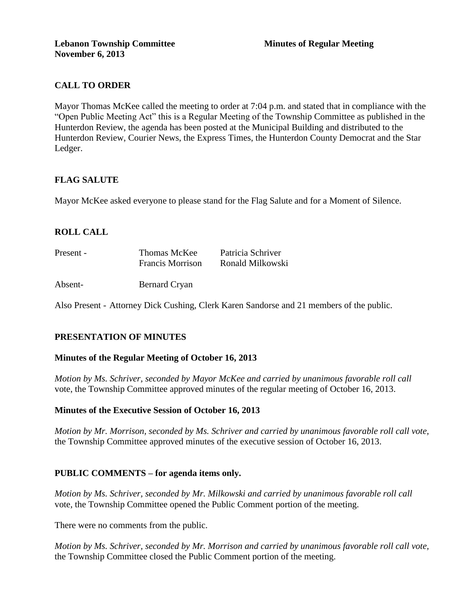# **CALL TO ORDER**

Mayor Thomas McKee called the meeting to order at 7:04 p.m. and stated that in compliance with the "Open Public Meeting Act" this is a Regular Meeting of the Township Committee as published in the Hunterdon Review, the agenda has been posted at the Municipal Building and distributed to the Hunterdon Review, Courier News, the Express Times, the Hunterdon County Democrat and the Star Ledger.

# **FLAG SALUTE**

Mayor McKee asked everyone to please stand for the Flag Salute and for a Moment of Silence.

# **ROLL CALL**

| Present - | Thomas McKee            | Patricia Schriver |
|-----------|-------------------------|-------------------|
|           | <b>Francis Morrison</b> | Ronald Milkowski  |
|           |                         |                   |

Absent- Bernard Cryan

Also Present - Attorney Dick Cushing, Clerk Karen Sandorse and 21 members of the public.

# **PRESENTATION OF MINUTES**

#### **Minutes of the Regular Meeting of October 16, 2013**

*Motion by Ms. Schriver, seconded by Mayor McKee and carried by unanimous favorable roll call*  vote, the Township Committee approved minutes of the regular meeting of October 16, 2013.

#### **Minutes of the Executive Session of October 16, 2013**

*Motion by Mr. Morrison, seconded by Ms. Schriver and carried by unanimous favorable roll call vote,* the Township Committee approved minutes of the executive session of October 16, 2013.

#### **PUBLIC COMMENTS – for agenda items only.**

*Motion by Ms. Schriver, seconded by Mr. Milkowski and carried by unanimous favorable roll call*  vote*,* the Township Committee opened the Public Comment portion of the meeting.

There were no comments from the public.

*Motion by Ms. Schriver, seconded by Mr. Morrison and carried by unanimous favorable roll call vote,* the Township Committee closed the Public Comment portion of the meeting.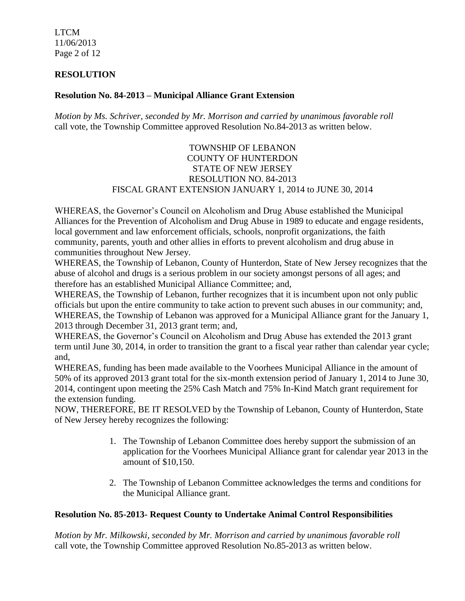LTCM 11/06/2013 Page 2 of 12

## **RESOLUTION**

### **Resolution No. 84-2013 – Municipal Alliance Grant Extension**

*Motion by Ms. Schriver, seconded by Mr. Morrison and carried by unanimous favorable roll*  call vote, the Township Committee approved Resolution No.84-2013 as written below.

## TOWNSHIP OF LEBANON COUNTY OF HUNTERDON STATE OF NEW JERSEY RESOLUTION NO. 84-2013 FISCAL GRANT EXTENSION JANUARY 1, 2014 to JUNE 30, 2014

WHEREAS, the Governor's Council on Alcoholism and Drug Abuse established the Municipal Alliances for the Prevention of Alcoholism and Drug Abuse in 1989 to educate and engage residents, local government and law enforcement officials, schools, nonprofit organizations, the faith community, parents, youth and other allies in efforts to prevent alcoholism and drug abuse in communities throughout New Jersey.

WHEREAS, the Township of Lebanon, County of Hunterdon, State of New Jersey recognizes that the abuse of alcohol and drugs is a serious problem in our society amongst persons of all ages; and therefore has an established Municipal Alliance Committee; and,

WHEREAS, the Township of Lebanon, further recognizes that it is incumbent upon not only public officials but upon the entire community to take action to prevent such abuses in our community; and, WHEREAS, the Township of Lebanon was approved for a Municipal Alliance grant for the January 1, 2013 through December 31, 2013 grant term; and,

WHEREAS, the Governor's Council on Alcoholism and Drug Abuse has extended the 2013 grant term until June 30, 2014, in order to transition the grant to a fiscal year rather than calendar year cycle; and,

WHEREAS, funding has been made available to the Voorhees Municipal Alliance in the amount of 50% of its approved 2013 grant total for the six-month extension period of January 1, 2014 to June 30, 2014, contingent upon meeting the 25% Cash Match and 75% In-Kind Match grant requirement for the extension funding.

NOW, THEREFORE, BE IT RESOLVED by the Township of Lebanon, County of Hunterdon, State of New Jersey hereby recognizes the following:

- 1. The Township of Lebanon Committee does hereby support the submission of an application for the Voorhees Municipal Alliance grant for calendar year 2013 in the amount of \$10,150.
- 2. The Township of Lebanon Committee acknowledges the terms and conditions for the Municipal Alliance grant.

#### **Resolution No. 85-2013- Request County to Undertake Animal Control Responsibilities**

*Motion by Mr. Milkowski, seconded by Mr. Morrison and carried by unanimous favorable roll*  call vote, the Township Committee approved Resolution No.85-2013 as written below.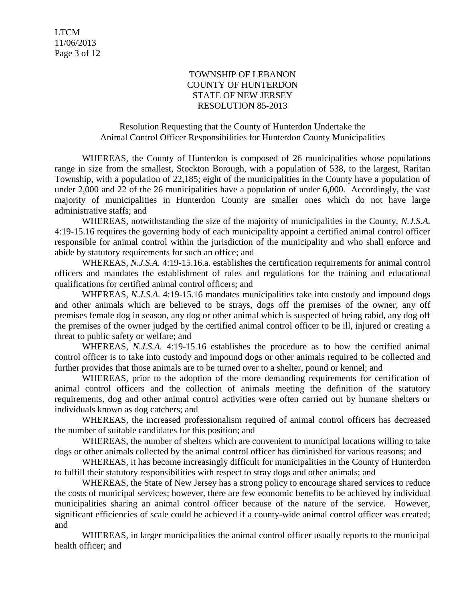### TOWNSHIP OF LEBANON COUNTY OF HUNTERDON STATE OF NEW JERSEY RESOLUTION 85-2013

## Resolution Requesting that the County of Hunterdon Undertake the Animal Control Officer Responsibilities for Hunterdon County Municipalities

WHEREAS, the County of Hunterdon is composed of 26 municipalities whose populations range in size from the smallest, Stockton Borough, with a population of 538, to the largest, Raritan Township, with a population of 22,185; eight of the municipalities in the County have a population of under 2,000 and 22 of the 26 municipalities have a population of under 6,000. Accordingly, the vast majority of municipalities in Hunterdon County are smaller ones which do not have large administrative staffs; and

WHEREAS, notwithstanding the size of the majority of municipalities in the County, *N.J.S.A.*  4:19-15.16 requires the governing body of each municipality appoint a certified animal control officer responsible for animal control within the jurisdiction of the municipality and who shall enforce and abide by statutory requirements for such an office; and

WHEREAS, *N.J.S.A.* 4:19-15.16.a. establishes the certification requirements for animal control officers and mandates the establishment of rules and regulations for the training and educational qualifications for certified animal control officers; and

WHEREAS, *N.J.S.A.* 4:19-15.16 mandates municipalities take into custody and impound dogs and other animals which are believed to be strays, dogs off the premises of the owner, any off premises female dog in season, any dog or other animal which is suspected of being rabid, any dog off the premises of the owner judged by the certified animal control officer to be ill, injured or creating a threat to public safety or welfare; and

WHEREAS, *N.J.S.A.* 4:19-15.16 establishes the procedure as to how the certified animal control officer is to take into custody and impound dogs or other animals required to be collected and further provides that those animals are to be turned over to a shelter, pound or kennel; and

WHEREAS, prior to the adoption of the more demanding requirements for certification of animal control officers and the collection of animals meeting the definition of the statutory requirements, dog and other animal control activities were often carried out by humane shelters or individuals known as dog catchers; and

WHEREAS, the increased professionalism required of animal control officers has decreased the number of suitable candidates for this position; and

WHEREAS, the number of shelters which are convenient to municipal locations willing to take dogs or other animals collected by the animal control officer has diminished for various reasons; and

WHEREAS, it has become increasingly difficult for municipalities in the County of Hunterdon to fulfill their statutory responsibilities with respect to stray dogs and other animals; and

WHEREAS, the State of New Jersey has a strong policy to encourage shared services to reduce the costs of municipal services; however, there are few economic benefits to be achieved by individual municipalities sharing an animal control officer because of the nature of the service. However, significant efficiencies of scale could be achieved if a county-wide animal control officer was created; and

WHEREAS, in larger municipalities the animal control officer usually reports to the municipal health officer; and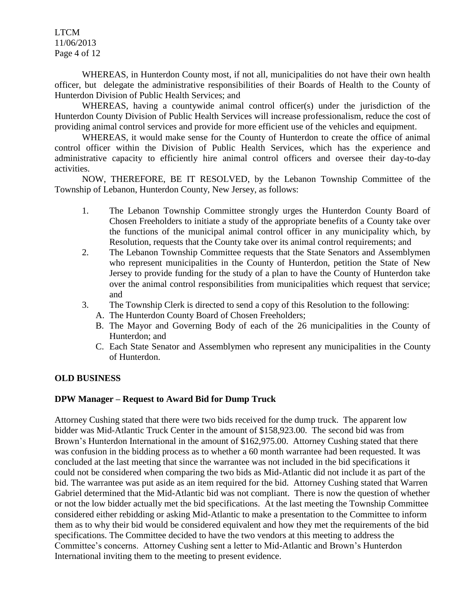LTCM 11/06/2013 Page 4 of 12

WHEREAS, in Hunterdon County most, if not all, municipalities do not have their own health officer, but delegate the administrative responsibilities of their Boards of Health to the County of Hunterdon Division of Public Health Services; and

WHEREAS, having a countywide animal control officer(s) under the jurisdiction of the Hunterdon County Division of Public Health Services will increase professionalism, reduce the cost of providing animal control services and provide for more efficient use of the vehicles and equipment.

WHEREAS, it would make sense for the County of Hunterdon to create the office of animal control officer within the Division of Public Health Services, which has the experience and administrative capacity to efficiently hire animal control officers and oversee their day-to-day activities.

NOW, THEREFORE, BE IT RESOLVED, by the Lebanon Township Committee of the Township of Lebanon, Hunterdon County, New Jersey, as follows:

- 1. The Lebanon Township Committee strongly urges the Hunterdon County Board of Chosen Freeholders to initiate a study of the appropriate benefits of a County take over the functions of the municipal animal control officer in any municipality which, by Resolution, requests that the County take over its animal control requirements; and
- 2. The Lebanon Township Committee requests that the State Senators and Assemblymen who represent municipalities in the County of Hunterdon, petition the State of New Jersey to provide funding for the study of a plan to have the County of Hunterdon take over the animal control responsibilities from municipalities which request that service; and
- 3. The Township Clerk is directed to send a copy of this Resolution to the following:
	- A. The Hunterdon County Board of Chosen Freeholders;
	- B. The Mayor and Governing Body of each of the 26 municipalities in the County of Hunterdon; and
	- C. Each State Senator and Assemblymen who represent any municipalities in the County of Hunterdon.

#### **OLD BUSINESS**

#### **DPW Manager – Request to Award Bid for Dump Truck**

Attorney Cushing stated that there were two bids received for the dump truck. The apparent low bidder was Mid-Atlantic Truck Center in the amount of \$158,923.00. The second bid was from Brown's Hunterdon International in the amount of \$162,975.00. Attorney Cushing stated that there was confusion in the bidding process as to whether a 60 month warrantee had been requested. It was concluded at the last meeting that since the warrantee was not included in the bid specifications it could not be considered when comparing the two bids as Mid-Atlantic did not include it as part of the bid. The warrantee was put aside as an item required for the bid. Attorney Cushing stated that Warren Gabriel determined that the Mid-Atlantic bid was not compliant. There is now the question of whether or not the low bidder actually met the bid specifications. At the last meeting the Township Committee considered either rebidding or asking Mid-Atlantic to make a presentation to the Committee to inform them as to why their bid would be considered equivalent and how they met the requirements of the bid specifications. The Committee decided to have the two vendors at this meeting to address the Committee's concerns. Attorney Cushing sent a letter to Mid-Atlantic and Brown's Hunterdon International inviting them to the meeting to present evidence.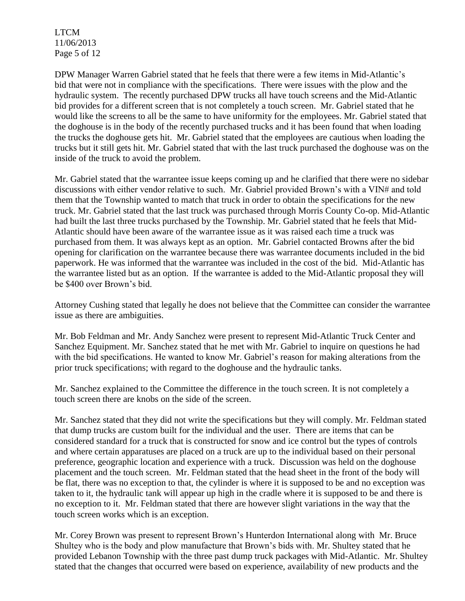LTCM 11/06/2013 Page 5 of 12

DPW Manager Warren Gabriel stated that he feels that there were a few items in Mid-Atlantic's bid that were not in compliance with the specifications. There were issues with the plow and the hydraulic system. The recently purchased DPW trucks all have touch screens and the Mid-Atlantic bid provides for a different screen that is not completely a touch screen. Mr. Gabriel stated that he would like the screens to all be the same to have uniformity for the employees. Mr. Gabriel stated that the doghouse is in the body of the recently purchased trucks and it has been found that when loading the trucks the doghouse gets hit. Mr. Gabriel stated that the employees are cautious when loading the trucks but it still gets hit. Mr. Gabriel stated that with the last truck purchased the doghouse was on the inside of the truck to avoid the problem.

Mr. Gabriel stated that the warrantee issue keeps coming up and he clarified that there were no sidebar discussions with either vendor relative to such. Mr. Gabriel provided Brown's with a VIN# and told them that the Township wanted to match that truck in order to obtain the specifications for the new truck. Mr. Gabriel stated that the last truck was purchased through Morris County Co-op. Mid-Atlantic had built the last three trucks purchased by the Township. Mr. Gabriel stated that he feels that Mid-Atlantic should have been aware of the warrantee issue as it was raised each time a truck was purchased from them. It was always kept as an option. Mr. Gabriel contacted Browns after the bid opening for clarification on the warrantee because there was warrantee documents included in the bid paperwork. He was informed that the warrantee was included in the cost of the bid. Mid-Atlantic has the warrantee listed but as an option. If the warrantee is added to the Mid-Atlantic proposal they will be \$400 over Brown's bid.

Attorney Cushing stated that legally he does not believe that the Committee can consider the warrantee issue as there are ambiguities.

Mr. Bob Feldman and Mr. Andy Sanchez were present to represent Mid-Atlantic Truck Center and Sanchez Equipment. Mr. Sanchez stated that he met with Mr. Gabriel to inquire on questions he had with the bid specifications. He wanted to know Mr. Gabriel's reason for making alterations from the prior truck specifications; with regard to the doghouse and the hydraulic tanks.

Mr. Sanchez explained to the Committee the difference in the touch screen. It is not completely a touch screen there are knobs on the side of the screen.

Mr. Sanchez stated that they did not write the specifications but they will comply. Mr. Feldman stated that dump trucks are custom built for the individual and the user. There are items that can be considered standard for a truck that is constructed for snow and ice control but the types of controls and where certain apparatuses are placed on a truck are up to the individual based on their personal preference, geographic location and experience with a truck. Discussion was held on the doghouse placement and the touch screen. Mr. Feldman stated that the head sheet in the front of the body will be flat, there was no exception to that, the cylinder is where it is supposed to be and no exception was taken to it, the hydraulic tank will appear up high in the cradle where it is supposed to be and there is no exception to it. Mr. Feldman stated that there are however slight variations in the way that the touch screen works which is an exception.

Mr. Corey Brown was present to represent Brown's Hunterdon International along with Mr. Bruce Shultey who is the body and plow manufacture that Brown's bids with. Mr. Shultey stated that he provided Lebanon Township with the three past dump truck packages with Mid-Atlantic. Mr. Shultey stated that the changes that occurred were based on experience, availability of new products and the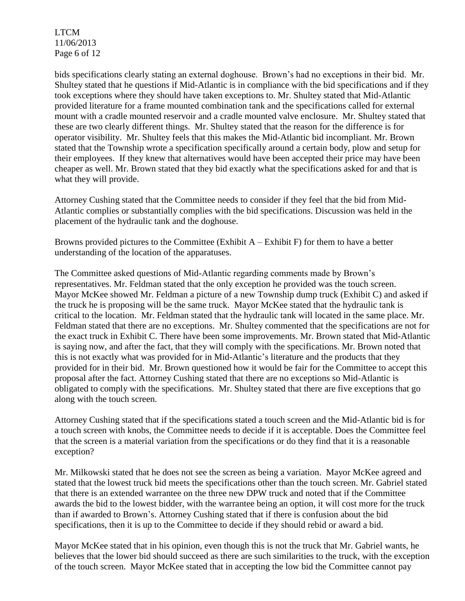LTCM 11/06/2013 Page 6 of 12

bids specifications clearly stating an external doghouse. Brown's had no exceptions in their bid. Mr. Shultey stated that he questions if Mid-Atlantic is in compliance with the bid specifications and if they took exceptions where they should have taken exceptions to. Mr. Shultey stated that Mid-Atlantic provided literature for a frame mounted combination tank and the specifications called for external mount with a cradle mounted reservoir and a cradle mounted valve enclosure. Mr. Shultey stated that these are two clearly different things. Mr. Shultey stated that the reason for the difference is for operator visibility. Mr. Shultey feels that this makes the Mid-Atlantic bid incompliant. Mr. Brown stated that the Township wrote a specification specifically around a certain body, plow and setup for their employees. If they knew that alternatives would have been accepted their price may have been cheaper as well. Mr. Brown stated that they bid exactly what the specifications asked for and that is what they will provide.

Attorney Cushing stated that the Committee needs to consider if they feel that the bid from Mid-Atlantic complies or substantially complies with the bid specifications. Discussion was held in the placement of the hydraulic tank and the doghouse.

Browns provided pictures to the Committee (Exhibit  $A -$  Exhibit F) for them to have a better understanding of the location of the apparatuses.

The Committee asked questions of Mid-Atlantic regarding comments made by Brown's representatives. Mr. Feldman stated that the only exception he provided was the touch screen. Mayor McKee showed Mr. Feldman a picture of a new Township dump truck (Exhibit C) and asked if the truck he is proposing will be the same truck. Mayor McKee stated that the hydraulic tank is critical to the location. Mr. Feldman stated that the hydraulic tank will located in the same place. Mr. Feldman stated that there are no exceptions. Mr. Shultey commented that the specifications are not for the exact truck in Exhibit C. There have been some improvements. Mr. Brown stated that Mid-Atlantic is saying now, and after the fact, that they will comply with the specifications. Mr. Brown noted that this is not exactly what was provided for in Mid-Atlantic's literature and the products that they provided for in their bid. Mr. Brown questioned how it would be fair for the Committee to accept this proposal after the fact. Attorney Cushing stated that there are no exceptions so Mid-Atlantic is obligated to comply with the specifications. Mr. Shultey stated that there are five exceptions that go along with the touch screen.

Attorney Cushing stated that if the specifications stated a touch screen and the Mid-Atlantic bid is for a touch screen with knobs, the Committee needs to decide if it is acceptable. Does the Committee feel that the screen is a material variation from the specifications or do they find that it is a reasonable exception?

Mr. Milkowski stated that he does not see the screen as being a variation. Mayor McKee agreed and stated that the lowest truck bid meets the specifications other than the touch screen. Mr. Gabriel stated that there is an extended warrantee on the three new DPW truck and noted that if the Committee awards the bid to the lowest bidder, with the warrantee being an option, it will cost more for the truck than if awarded to Brown's. Attorney Cushing stated that if there is confusion about the bid specifications, then it is up to the Committee to decide if they should rebid or award a bid.

Mayor McKee stated that in his opinion, even though this is not the truck that Mr. Gabriel wants, he believes that the lower bid should succeed as there are such similarities to the truck, with the exception of the touch screen. Mayor McKee stated that in accepting the low bid the Committee cannot pay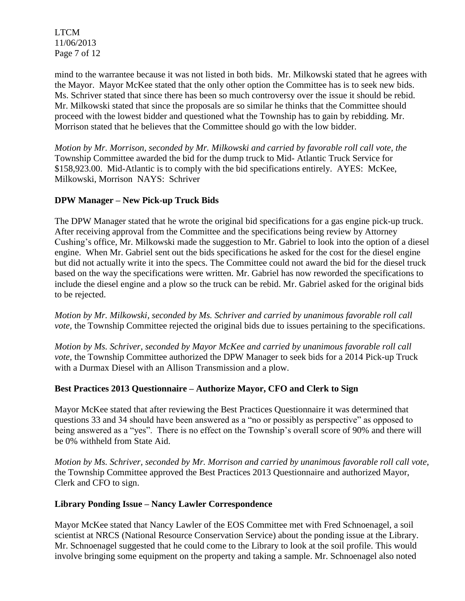LTCM 11/06/2013 Page 7 of 12

mind to the warrantee because it was not listed in both bids. Mr. Milkowski stated that he agrees with the Mayor. Mayor McKee stated that the only other option the Committee has is to seek new bids. Ms. Schriver stated that since there has been so much controversy over the issue it should be rebid. Mr. Milkowski stated that since the proposals are so similar he thinks that the Committee should proceed with the lowest bidder and questioned what the Township has to gain by rebidding. Mr. Morrison stated that he believes that the Committee should go with the low bidder.

*Motion by Mr. Morrison, seconded by Mr. Milkowski and carried by favorable roll call vote, the* Township Committee awarded the bid for the dump truck to Mid- Atlantic Truck Service for \$158,923.00. Mid-Atlantic is to comply with the bid specifications entirely. AYES: McKee, Milkowski, Morrison NAYS: Schriver

## **DPW Manager – New Pick-up Truck Bids**

The DPW Manager stated that he wrote the original bid specifications for a gas engine pick-up truck. After receiving approval from the Committee and the specifications being review by Attorney Cushing's office, Mr. Milkowski made the suggestion to Mr. Gabriel to look into the option of a diesel engine. When Mr. Gabriel sent out the bids specifications he asked for the cost for the diesel engine but did not actually write it into the specs. The Committee could not award the bid for the diesel truck based on the way the specifications were written. Mr. Gabriel has now reworded the specifications to include the diesel engine and a plow so the truck can be rebid. Mr. Gabriel asked for the original bids to be rejected.

*Motion by Mr. Milkowski, seconded by Ms. Schriver and carried by unanimous favorable roll call vote*, the Township Committee rejected the original bids due to issues pertaining to the specifications.

*Motion by Ms. Schriver, seconded by Mayor McKee and carried by unanimous favorable roll call vote,* the Township Committee authorized the DPW Manager to seek bids for a 2014 Pick-up Truck with a Durmax Diesel with an Allison Transmission and a plow.

#### **Best Practices 2013 Questionnaire – Authorize Mayor, CFO and Clerk to Sign**

Mayor McKee stated that after reviewing the Best Practices Questionnaire it was determined that questions 33 and 34 should have been answered as a "no or possibly as perspective" as opposed to being answered as a "yes". There is no effect on the Township's overall score of 90% and there will be 0% withheld from State Aid.

*Motion by Ms. Schriver, seconded by Mr. Morrison and carried by unanimous favorable roll call vote,* the Township Committee approved the Best Practices 2013 Questionnaire and authorized Mayor, Clerk and CFO to sign.

#### **Library Ponding Issue – Nancy Lawler Correspondence**

Mayor McKee stated that Nancy Lawler of the EOS Committee met with Fred Schnoenagel, a soil scientist at NRCS (National Resource Conservation Service) about the ponding issue at the Library. Mr. Schnoenagel suggested that he could come to the Library to look at the soil profile. This would involve bringing some equipment on the property and taking a sample. Mr. Schnoenagel also noted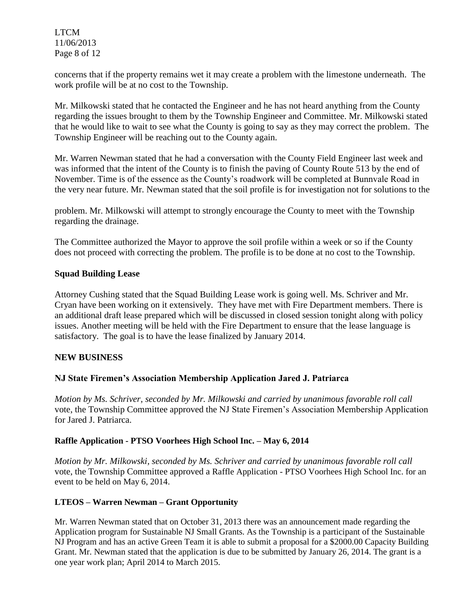LTCM 11/06/2013 Page 8 of 12

concerns that if the property remains wet it may create a problem with the limestone underneath. The work profile will be at no cost to the Township.

Mr. Milkowski stated that he contacted the Engineer and he has not heard anything from the County regarding the issues brought to them by the Township Engineer and Committee. Mr. Milkowski stated that he would like to wait to see what the County is going to say as they may correct the problem. The Township Engineer will be reaching out to the County again.

Mr. Warren Newman stated that he had a conversation with the County Field Engineer last week and was informed that the intent of the County is to finish the paving of County Route 513 by the end of November. Time is of the essence as the County's roadwork will be completed at Bunnvale Road in the very near future. Mr. Newman stated that the soil profile is for investigation not for solutions to the

problem. Mr. Milkowski will attempt to strongly encourage the County to meet with the Township regarding the drainage.

The Committee authorized the Mayor to approve the soil profile within a week or so if the County does not proceed with correcting the problem. The profile is to be done at no cost to the Township.

## **Squad Building Lease**

Attorney Cushing stated that the Squad Building Lease work is going well. Ms. Schriver and Mr. Cryan have been working on it extensively. They have met with Fire Department members. There is an additional draft lease prepared which will be discussed in closed session tonight along with policy issues. Another meeting will be held with the Fire Department to ensure that the lease language is satisfactory. The goal is to have the lease finalized by January 2014.

#### **NEW BUSINESS**

# **NJ State Firemen's Association Membership Application Jared J. Patriarca**

*Motion by Ms. Schriver, seconded by Mr. Milkowski and carried by unanimous favorable roll call* vote, the Township Committee approved the NJ State Firemen's Association Membership Application for Jared J. Patriarca.

#### **Raffle Application - PTSO Voorhees High School Inc. – May 6, 2014**

*Motion by Mr. Milkowski, seconded by Ms. Schriver and carried by unanimous favorable roll call* vote, the Township Committee approved a Raffle Application - PTSO Voorhees High School Inc. for an event to be held on May 6, 2014.

#### **LTEOS – Warren Newman – Grant Opportunity**

Mr. Warren Newman stated that on October 31, 2013 there was an announcement made regarding the Application program for Sustainable NJ Small Grants. As the Township is a participant of the Sustainable NJ Program and has an active Green Team it is able to submit a proposal for a \$2000.00 Capacity Building Grant. Mr. Newman stated that the application is due to be submitted by January 26, 2014. The grant is a one year work plan; April 2014 to March 2015.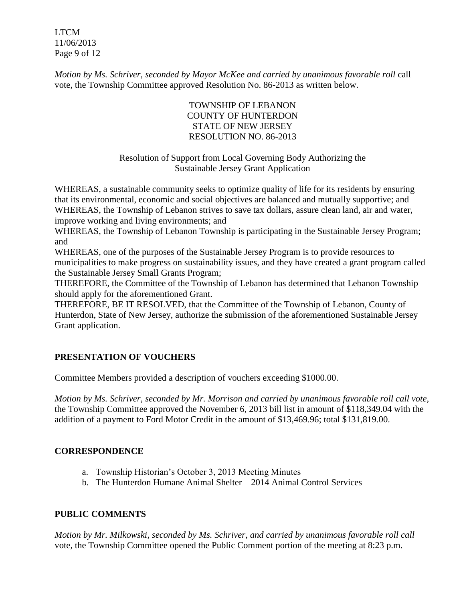LTCM 11/06/2013 Page 9 of 12

*Motion by Ms. Schriver, seconded by Mayor McKee and carried by unanimous favorable roll call* vote, the Township Committee approved Resolution No. 86-2013 as written below.

# TOWNSHIP OF LEBANON COUNTY OF HUNTERDON STATE OF NEW JERSEY RESOLUTION NO. 86-2013

# Resolution of Support from Local Governing Body Authorizing the Sustainable Jersey Grant Application

WHEREAS, a sustainable community seeks to optimize quality of life for its residents by ensuring that its environmental, economic and social objectives are balanced and mutually supportive; and WHEREAS, the Township of Lebanon strives to save tax dollars, assure clean land, air and water, improve working and living environments; and

WHEREAS, the Township of Lebanon Township is participating in the Sustainable Jersey Program; and

WHEREAS, one of the purposes of the Sustainable Jersey Program is to provide resources to municipalities to make progress on sustainability issues, and they have created a grant program called the Sustainable Jersey Small Grants Program;

THEREFORE, the Committee of the Township of Lebanon has determined that Lebanon Township should apply for the aforementioned Grant.

THEREFORE, BE IT RESOLVED, that the Committee of the Township of Lebanon, County of Hunterdon, State of New Jersey, authorize the submission of the aforementioned Sustainable Jersey Grant application.

# **PRESENTATION OF VOUCHERS**

Committee Members provided a description of vouchers exceeding \$1000.00.

*Motion by Ms. Schriver, seconded by Mr. Morrison and carried by unanimous favorable roll call vote,* the Township Committee approved the November 6, 2013 bill list in amount of \$118,349.04 with the addition of a payment to Ford Motor Credit in the amount of \$13,469.96; total \$131,819.00.

# **CORRESPONDENCE**

- a. Township Historian's October 3, 2013 Meeting Minutes
- b. The Hunterdon Humane Animal Shelter 2014 Animal Control Services

# **PUBLIC COMMENTS**

*Motion by Mr. Milkowski, seconded by Ms. Schriver, and carried by unanimous favorable roll call*  vote*,* the Township Committee opened the Public Comment portion of the meeting at 8:23 p.m.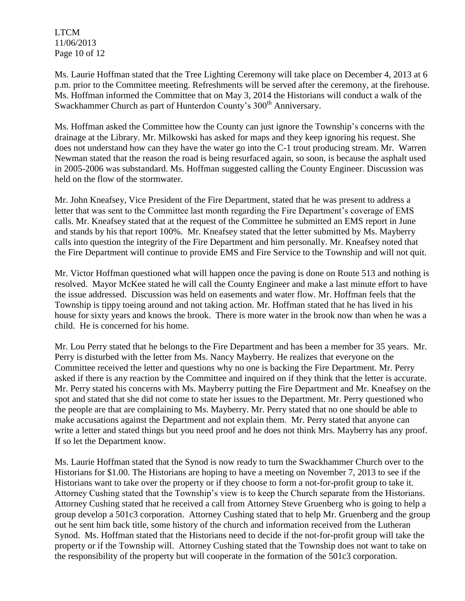LTCM 11/06/2013 Page 10 of 12

Ms. Laurie Hoffman stated that the Tree Lighting Ceremony will take place on December 4, 2013 at 6 p.m. prior to the Committee meeting. Refreshments will be served after the ceremony, at the firehouse. Ms. Hoffman informed the Committee that on May 3, 2014 the Historians will conduct a walk of the Swackhammer Church as part of Hunterdon County's 300<sup>th</sup> Anniversary.

Ms. Hoffman asked the Committee how the County can just ignore the Township's concerns with the drainage at the Library. Mr. Milkowski has asked for maps and they keep ignoring his request. She does not understand how can they have the water go into the C-1 trout producing stream. Mr. Warren Newman stated that the reason the road is being resurfaced again, so soon, is because the asphalt used in 2005-2006 was substandard. Ms. Hoffman suggested calling the County Engineer. Discussion was held on the flow of the stormwater.

Mr. John Kneafsey, Vice President of the Fire Department, stated that he was present to address a letter that was sent to the Committee last month regarding the Fire Department's coverage of EMS calls. Mr. Kneafsey stated that at the request of the Committee he submitted an EMS report in June and stands by his that report 100%. Mr. Kneafsey stated that the letter submitted by Ms. Mayberry calls into question the integrity of the Fire Department and him personally. Mr. Kneafsey noted that the Fire Department will continue to provide EMS and Fire Service to the Township and will not quit.

Mr. Victor Hoffman questioned what will happen once the paving is done on Route 513 and nothing is resolved. Mayor McKee stated he will call the County Engineer and make a last minute effort to have the issue addressed. Discussion was held on easements and water flow. Mr. Hoffman feels that the Township is tippy toeing around and not taking action. Mr. Hoffman stated that he has lived in his house for sixty years and knows the brook. There is more water in the brook now than when he was a child. He is concerned for his home.

Mr. Lou Perry stated that he belongs to the Fire Department and has been a member for 35 years. Mr. Perry is disturbed with the letter from Ms. Nancy Mayberry. He realizes that everyone on the Committee received the letter and questions why no one is backing the Fire Department. Mr. Perry asked if there is any reaction by the Committee and inquired on if they think that the letter is accurate. Mr. Perry stated his concerns with Ms. Mayberry putting the Fire Department and Mr. Kneafsey on the spot and stated that she did not come to state her issues to the Department. Mr. Perry questioned who the people are that are complaining to Ms. Mayberry. Mr. Perry stated that no one should be able to make accusations against the Department and not explain them. Mr. Perry stated that anyone can write a letter and stated things but you need proof and he does not think Mrs. Mayberry has any proof. If so let the Department know.

Ms. Laurie Hoffman stated that the Synod is now ready to turn the Swackhammer Church over to the Historians for \$1.00. The Historians are hoping to have a meeting on November 7, 2013 to see if the Historians want to take over the property or if they choose to form a not-for-profit group to take it. Attorney Cushing stated that the Township's view is to keep the Church separate from the Historians. Attorney Cushing stated that he received a call from Attorney Steve Gruenberg who is going to help a group develop a 501c3 corporation. Attorney Cushing stated that to help Mr. Gruenberg and the group out he sent him back title, some history of the church and information received from the Lutheran Synod. Ms. Hoffman stated that the Historians need to decide if the not-for-profit group will take the property or if the Township will. Attorney Cushing stated that the Township does not want to take on the responsibility of the property but will cooperate in the formation of the 501c3 corporation.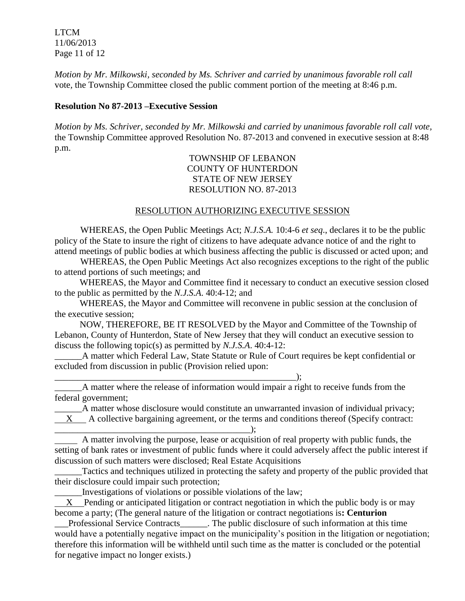LTCM 11/06/2013 Page 11 of 12

*Motion by Mr. Milkowski, seconded by Ms. Schriver and carried by unanimous favorable roll call*  vote*,* the Township Committee closed the public comment portion of the meeting at 8:46 p.m.

### **Resolution No 87-2013 –Executive Session**

*Motion by Ms. Schriver, seconded by Mr. Milkowski and carried by unanimous favorable roll call vote,* the Township Committee approved Resolution No. 87-2013 and convened in executive session at 8:48 p.m.

> TOWNSHIP OF LEBANON COUNTY OF HUNTERDON STATE OF NEW JERSEY RESOLUTION NO. 87-2013

#### RESOLUTION AUTHORIZING EXECUTIVE SESSION

WHEREAS, the Open Public Meetings Act; *N.J.S.A.* 10:4-6 *et seq*., declares it to be the public policy of the State to insure the right of citizens to have adequate advance notice of and the right to attend meetings of public bodies at which business affecting the public is discussed or acted upon; and

WHEREAS, the Open Public Meetings Act also recognizes exceptions to the right of the public to attend portions of such meetings; and

 WHEREAS, the Mayor and Committee find it necessary to conduct an executive session closed to the public as permitted by the *N.J.S.A*. 40:4-12; and

 WHEREAS, the Mayor and Committee will reconvene in public session at the conclusion of the executive session;

 NOW, THEREFORE, BE IT RESOLVED by the Mayor and Committee of the Township of Lebanon, County of Hunterdon, State of New Jersey that they will conduct an executive session to discuss the following topic(s) as permitted by *N.J.S.A*. 40:4-12:

\_\_\_\_\_\_A matter which Federal Law, State Statute or Rule of Court requires be kept confidential or excluded from discussion in public (Provision relied upon:

\_\_\_\_\_\_A matter where the release of information would impair a right to receive funds from the federal government;

\_\_\_\_\_\_A matter whose disclosure would constitute an unwarranted invasion of individual privacy;  $X$  A collective bargaining agreement, or the terms and conditions thereof (Specify contract: \_\_\_\_\_\_\_\_\_\_\_\_\_\_\_\_\_\_\_\_\_\_\_\_\_\_\_\_\_\_\_\_\_\_\_\_\_\_\_\_\_\_\_);

 A matter involving the purpose, lease or acquisition of real property with public funds, the setting of bank rates or investment of public funds where it could adversely affect the public interest if discussion of such matters were disclosed; Real Estate Acquisitions

\_\_\_\_\_\_Tactics and techniques utilized in protecting the safety and property of the public provided that their disclosure could impair such protection;

\_\_\_\_\_\_Investigations of violations or possible violations of the law;

 $\qquad \qquad ; \qquad$ 

 X Pending or anticipated litigation or contract negotiation in which the public body is or may become a party; (The general nature of the litigation or contract negotiations is**: Centurion**

\_\_\_Professional Service Contracts\_\_\_\_\_\_. The public disclosure of such information at this time would have a potentially negative impact on the municipality's position in the litigation or negotiation; therefore this information will be withheld until such time as the matter is concluded or the potential for negative impact no longer exists.)